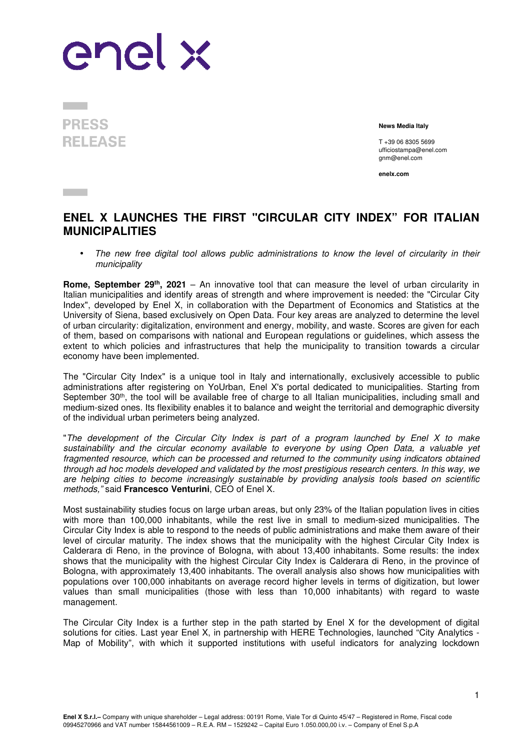

**PRESS RELEASE** 

**Contract** 

**News Media Italy**

T +39 06 8305 5699 ufficiostampa@enel.com gnm@enel.com

**enelx.com** 

## **ENEL X LAUNCHES THE FIRST "CIRCULAR CITY INDEX" FOR ITALIAN MUNICIPALITIES**

The new free digital tool allows public administrations to know the level of circularity in their municipality

**Rome, September 29th, 2021** – An innovative tool that can measure the level of urban circularity in Italian municipalities and identify areas of strength and where improvement is needed: the "Circular City Index", developed by Enel X, in collaboration with the Department of Economics and Statistics at the University of Siena, based exclusively on Open Data. Four key areas are analyzed to determine the level of urban circularity: digitalization, environment and energy, mobility, and waste. Scores are given for each of them, based on comparisons with national and European regulations or guidelines, which assess the extent to which policies and infrastructures that help the municipality to transition towards a circular economy have been implemented.

The "Circular City Index" is a unique tool in Italy and internationally, exclusively accessible to public administrations after registering on YoUrban, Enel X's portal dedicated to municipalities. Starting from September 30<sup>th</sup>, the tool will be available free of charge to all Italian municipalities, including small and medium-sized ones. Its flexibility enables it to balance and weight the territorial and demographic diversity of the individual urban perimeters being analyzed.

"The development of the Circular City Index is part of a program launched by Enel X to make sustainability and the circular economy available to everyone by using Open Data, a valuable yet fragmented resource, which can be processed and returned to the community using indicators obtained through ad hoc models developed and validated by the most prestigious research centers. In this way, we are helping cities to become increasingly sustainable by providing analysis tools based on scientific methods," said **Francesco Venturini**, CEO of Enel X.

Most sustainability studies focus on large urban areas, but only 23% of the Italian population lives in cities with more than 100,000 inhabitants, while the rest live in small to medium-sized municipalities. The Circular City Index is able to respond to the needs of public administrations and make them aware of their level of circular maturity. The index shows that the municipality with the highest Circular City Index is Calderara di Reno, in the province of Bologna, with about 13,400 inhabitants. Some results: the index shows that the municipality with the highest Circular City Index is Calderara di Reno, in the province of Bologna, with approximately 13,400 inhabitants. The overall analysis also shows how municipalities with populations over 100,000 inhabitants on average record higher levels in terms of digitization, but lower values than small municipalities (those with less than 10,000 inhabitants) with regard to waste management.

The Circular City Index is a further step in the path started by Enel X for the development of digital solutions for cities. Last year Enel X, in partnership with HERE Technologies, launched "City Analytics - Map of Mobility", with which it supported institutions with useful indicators for analyzing lockdown